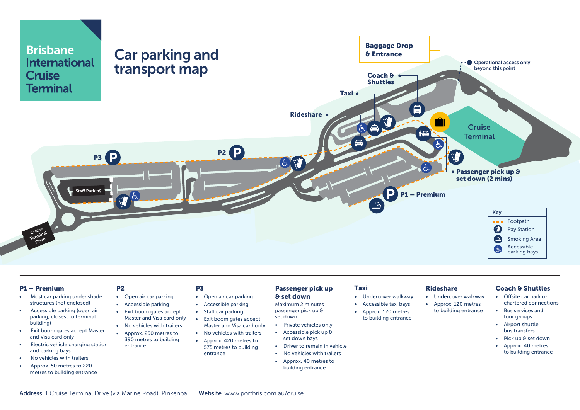

#### P1 – Premium

- Most car parking under shade structures (not enclosed)
- Accessible parking (open air parking; closest to terminal building)
- Exit boom gates accept Master and Visa card only
- Electric vehicle charging station and parking bays
- No vehicles with trailers
- Approx. 50 metres to 220 metres to building entrance

• Open air car parking

P2

- Accessible parking • Exit boom gates accept
- Master and Visa card only • No vehicles with trailers
- Approx. 250 metres to 390 metres to building entrance
- P3
- Open air car parking
	- Accessible parking
	- Staff car parking
	- Exit boom gates accept
	- Master and Visa card only • No vehicles with trailers
	- Approx. 420 metres to
	- 575 metres to building entrance

#### Passenger pick up & set down

- Maximum 2 minutes passenger pick up & set down:
- Private vehicles only
- Accessible pick up &
- set down bays • Driver to remain in vehicle
- No vehicles with trailers
- Approx. 40 metres to building entrance

- Undercover walkway
- Accessible taxi bays
- Approx. 120 metres to building entrance

Taxi

### Rideshare

- Undercover walkway
- Approx. 120 metres
	- to building entrance

### Coach & Shuttles

- Offsite car park or chartered connections
	- Bus services and tour groups
	- Airport shuttle bus transfers
	- Pick up & set down
	- Approx. 40 metres to building entrance